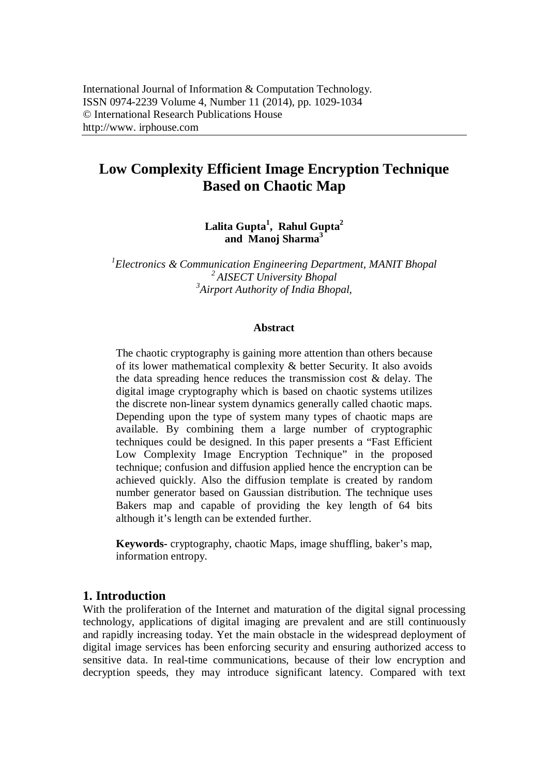# **Low Complexity Efficient Image Encryption Technique Based on Chaotic Map**

### **Lalita Gupta<sup>1</sup> , Rahul Gupta<sup>2</sup> and Manoj Sharma<sup>3</sup>**

*1 Electronics & Communication Engineering Department, MANIT Bhopal <sup>2</sup>AISECT University Bhopal 3 Airport Authority of India Bhopal,*

#### **Abstract**

The chaotic cryptography is gaining more attention than others because of its lower mathematical complexity & better Security. It also avoids the data spreading hence reduces the transmission cost & delay. The digital image cryptography which is based on chaotic systems utilizes the discrete non-linear system dynamics generally called chaotic maps. Depending upon the type of system many types of chaotic maps are available. By combining them a large number of cryptographic techniques could be designed. In this paper presents a "Fast Efficient Low Complexity Image Encryption Technique" in the proposed technique; confusion and diffusion applied hence the encryption can be achieved quickly. Also the diffusion template is created by random number generator based on Gaussian distribution. The technique uses Bakers map and capable of providing the key length of 64 bits although it's length can be extended further.

**Keywords-** cryptography, chaotic Maps, image shuffling, baker's map, information entropy.

### **1. Introduction**

With the proliferation of the Internet and maturation of the digital signal processing technology, applications of digital imaging are prevalent and are still continuously and rapidly increasing today. Yet the main obstacle in the widespread deployment of digital image services has been enforcing security and ensuring authorized access to sensitive data. In real-time communications, because of their low encryption and decryption speeds, they may introduce significant latency. Compared with text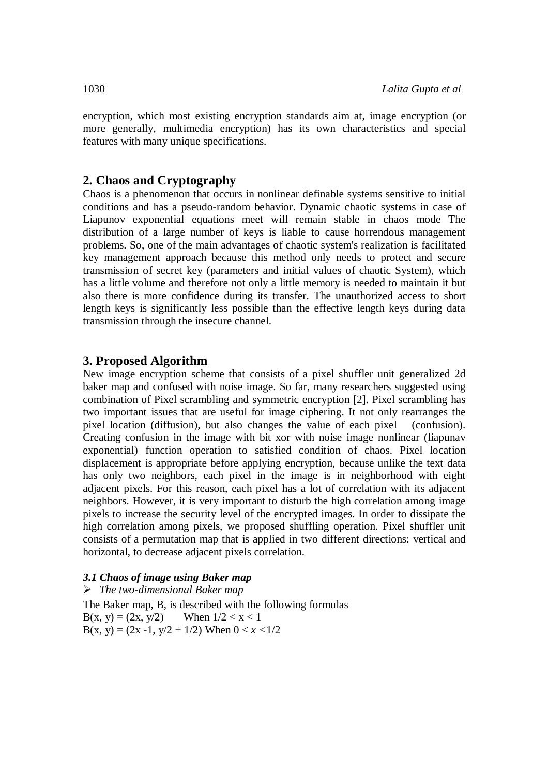encryption, which most existing encryption standards aim at, image encryption (or more generally, multimedia encryption) has its own characteristics and special features with many unique specifications.

#### **2. Chaos and Cryptography**

Chaos is a phenomenon that occurs in nonlinear definable systems sensitive to initial conditions and has a pseudo-random behavior. Dynamic chaotic systems in case of Liapunov exponential equations meet will remain stable in chaos mode The distribution of a large number of keys is liable to cause horrendous management problems. So, one of the main advantages of chaotic system's realization is facilitated key management approach because this method only needs to protect and secure transmission of secret key (parameters and initial values of chaotic System), which has a little volume and therefore not only a little memory is needed to maintain it but also there is more confidence during its transfer. The unauthorized access to short length keys is significantly less possible than the effective length keys during data transmission through the insecure channel.

#### **3. Proposed Algorithm**

New image encryption scheme that consists of a pixel shuffler unit generalized 2d baker map and confused with noise image. So far, many researchers suggested using combination of Pixel scrambling and symmetric encryption [2]. Pixel scrambling has two important issues that are useful for image ciphering. It not only rearranges the pixel location (diffusion), but also changes the value of each pixel (confusion). Creating confusion in the image with bit xor with noise image nonlinear (liapunav exponential) function operation to satisfied condition of chaos. Pixel location displacement is appropriate before applying encryption, because unlike the text data has only two neighbors, each pixel in the image is in neighborhood with eight adjacent pixels. For this reason, each pixel has a lot of correlation with its adjacent neighbors. However, it is very important to disturb the high correlation among image pixels to increase the security level of the encrypted images. In order to dissipate the high correlation among pixels, we proposed shuffling operation. Pixel shuffler unit consists of a permutation map that is applied in two different directions: vertical and horizontal, to decrease adjacent pixels correlation.

#### *3.1 Chaos of image using Baker map*

 *The two-dimensional Baker map* The Baker map, B, is described with the following formulas  $B(x, y) = (2x, y/2)$  When  $1/2 < x < 1$ B(x, y) =  $(2x - 1, y/2 + 1/2)$  When  $0 < x < 1/2$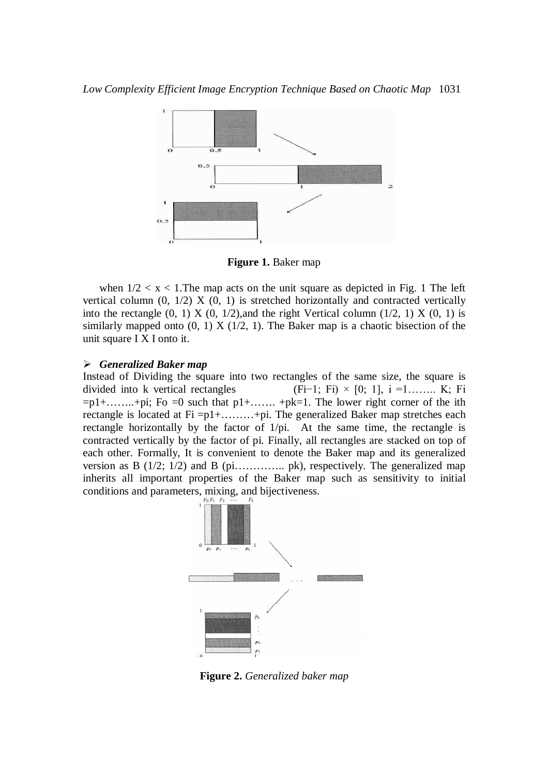

**Figure 1.** Baker map

when  $1/2 < x < 1$ . The map acts on the unit square as depicted in Fig. 1 The left vertical column  $(0, 1/2)$  X  $(0, 1)$  is stretched horizontally and contracted vertically into the rectangle  $(0, 1)$  X  $(0, 1/2)$ , and the right Vertical column  $(1/2, 1)$  X  $(0, 1)$  is similarly mapped onto  $(0, 1)$  X  $(1/2, 1)$ . The Baker map is a chaotic bisection of the unit square I X I onto it.

#### *Generalized Baker map*

Instead of Dividing the square into two rectangles of the same size, the square is divided into k vertical rectangles (Fi−1; Fi) × [0; 1], i =1…….. K; Fi  $=p1+$ ……+pi; Fo =0 such that  $p1+$ ……. +pk=1. The lower right corner of the ith rectangle is located at Fi =p1+………+pi. The generalized Baker map stretches each rectangle horizontally by the factor of 1/pi. At the same time, the rectangle is contracted vertically by the factor of pi. Finally, all rectangles are stacked on top of each other. Formally, It is convenient to denote the Baker map and its generalized version as B  $(1/2; 1/2)$  and B  $(pi$ ………….. pk), respectively. The generalized map inherits all important properties of the Baker map such as sensitivity to initial conditions and parameters, mixing, and bijectiveness.



**Figure 2.** *Generalized baker map*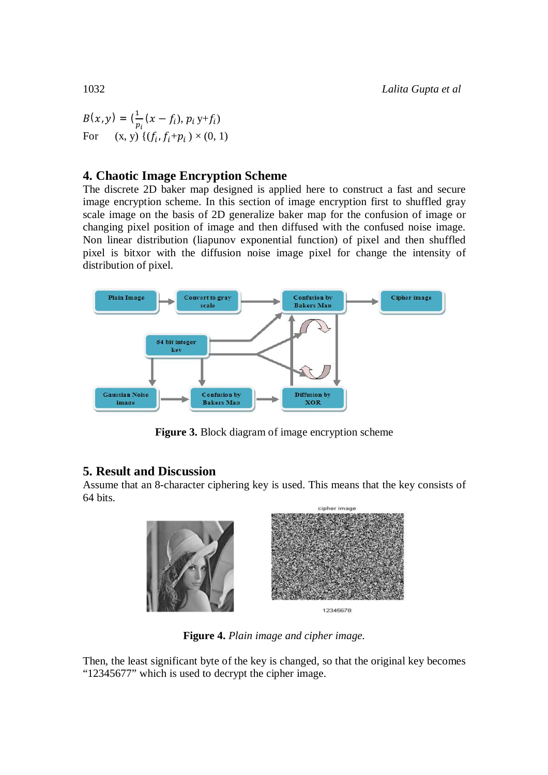$B(x, y) = \left(\frac{1}{x}\right)$  $\frac{1}{p_i}(x-f_i), p_i y+f_i)$ For  $(x, y) \{ (f_i, f_i + p_i) \times (0, 1) \}$ 

# **4. Chaotic Image Encryption Scheme**

The discrete 2D baker map designed is applied here to construct a fast and secure image encryption scheme. In this section of image encryption first to shuffled gray scale image on the basis of 2D generalize baker map for the confusion of image or changing pixel position of image and then diffused with the confused noise image. Non linear distribution (liapunov exponential function) of pixel and then shuffled pixel is bitxor with the diffusion noise image pixel for change the intensity of distribution of pixel.



**Figure 3.** Block diagram of image encryption scheme

# **5. Result and Discussion**

Assume that an 8-character ciphering key is used. This means that the key consists of 64 bits.



**Figure 4.** *Plain image and cipher image.*

Then, the least significant byte of the key is changed, so that the original key becomes "12345677" which is used to decrypt the cipher image.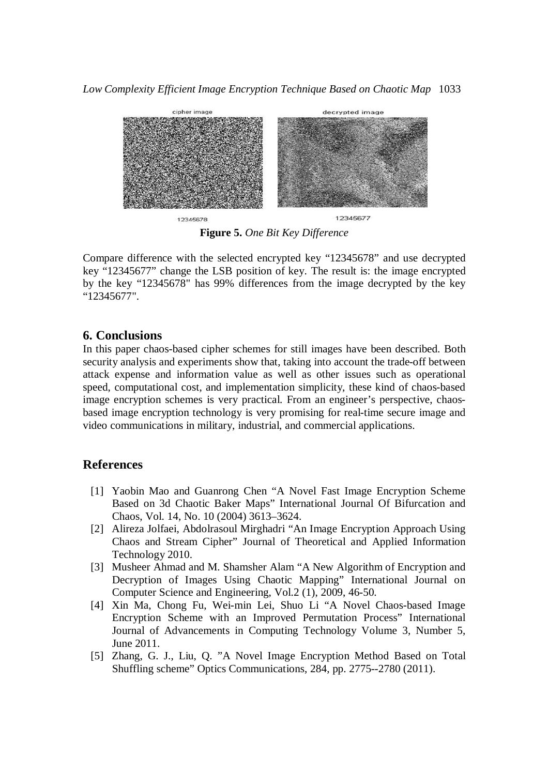*Low Complexity Efficient Image Encryption Technique Based on Chaotic Map* 1033



**Figure 5.** *One Bit Key Difference*

Compare difference with the selected encrypted key "12345678" and use decrypted key "12345677" change the LSB position of key. The result is: the image encrypted by the key "12345678" has 99% differences from the image decrypted by the key "12345677".

### **6. Conclusions**

In this paper chaos-based cipher schemes for still images have been described. Both security analysis and experiments show that, taking into account the trade-off between attack expense and information value as well as other issues such as operational speed, computational cost, and implementation simplicity, these kind of chaos-based image encryption schemes is very practical. From an engineer's perspective, chaosbased image encryption technology is very promising for real-time secure image and video communications in military, industrial, and commercial applications.

# **References**

- [1] Yaobin Mao and Guanrong Chen "A Novel Fast Image Encryption Scheme Based on 3d Chaotic Baker Maps" International Journal Of Bifurcation and Chaos, Vol. 14, No. 10 (2004) 3613–3624.
- [2] Alireza Jolfaei, Abdolrasoul Mirghadri "An Image Encryption Approach Using Chaos and Stream Cipher" Journal of Theoretical and Applied Information Technology 2010.
- [3] Musheer Ahmad and M. Shamsher Alam "A New Algorithm of Encryption and Decryption of Images Using Chaotic Mapping" International Journal on Computer Science and Engineering, Vol.2 (1), 2009, 46-50.
- [4] Xin Ma, Chong Fu, Wei-min Lei, Shuo Li "A Novel Chaos-based Image Encryption Scheme with an Improved Permutation Process" International Journal of Advancements in Computing Technology Volume 3, Number 5, June 2011.
- [5] Zhang, G. J., Liu, Q. "A Novel Image Encryption Method Based on Total Shuffling scheme" Optics Communications, 284, pp. 2775--2780 (2011).